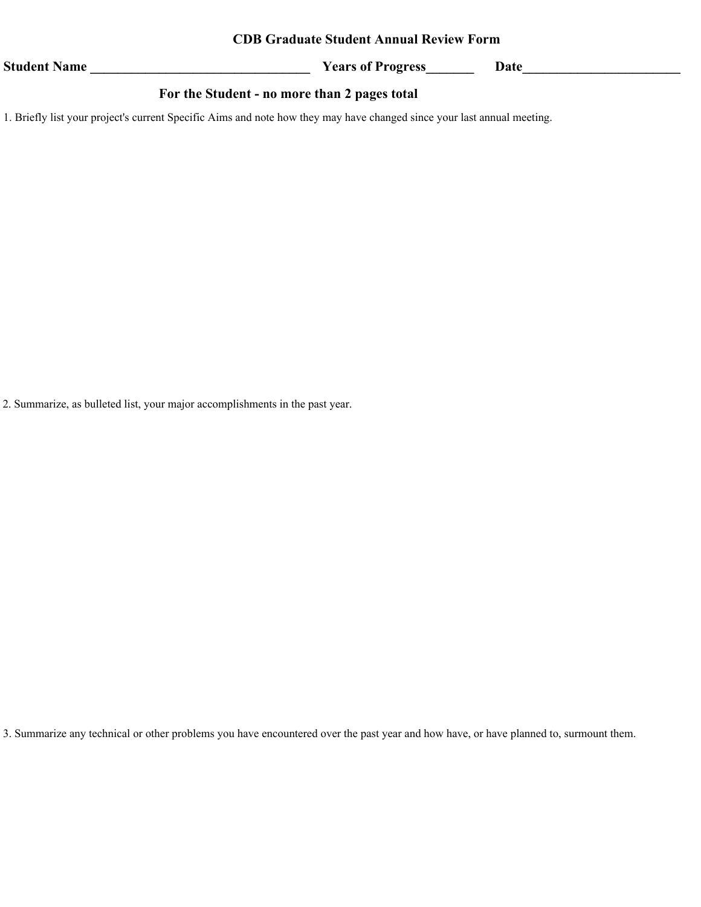## **CDB Graduate Student Annual Review Form**

**Student Name \_\_\_\_\_\_\_\_\_\_\_\_\_\_\_\_\_\_\_\_\_\_\_\_\_\_\_\_\_\_\_\_**

**Years of Progress\_\_\_\_\_\_\_ Date\_\_\_\_\_\_\_\_\_\_\_\_\_\_\_\_\_\_\_\_\_\_\_**

## **For the Student - no more than 2 pages total**

1. Briefly list your project's current Specific Aims and note how they may have changed since your last annual meeting.

2. Summarize, as bulleted list, your major accomplishments in the past year.

3. Summarize any technical or other problems you have encountered over the past year and how have, or have planned to, surmount them.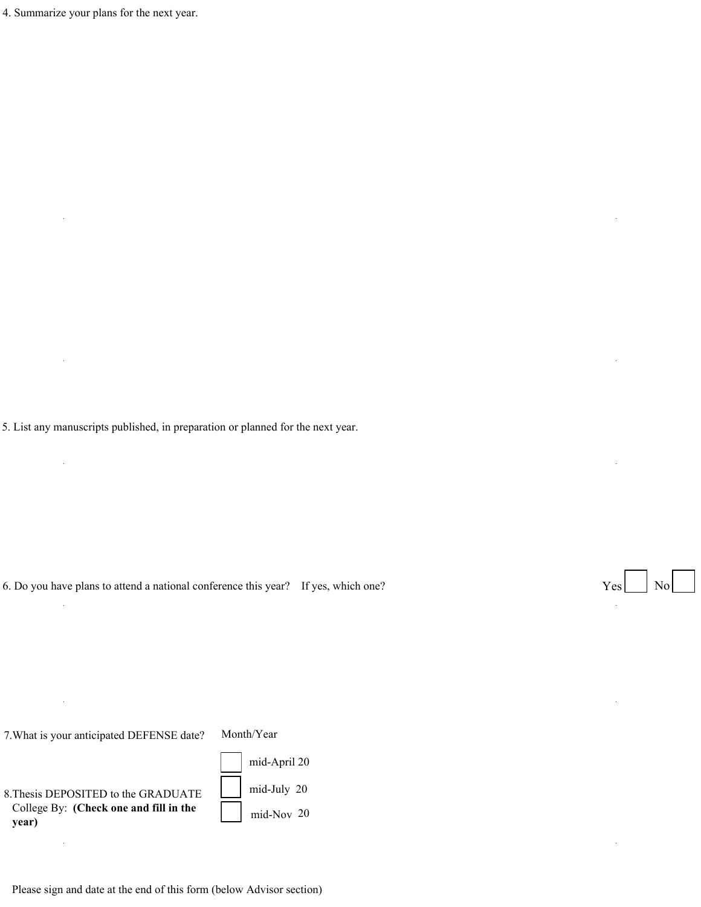4. Summarize your plans for the next year.

5. List any manuscripts published, in preparation or planned for the next year.

6. Do you have plans to attend a national conference this year? If yes, which one?

7.What is your anticipated DEFENSE date?

Month/Year

8.Thesis DEPOSITED to the GRADUATE College By: **(Check one and fill in the year)** 

 $\ddot{\phantom{a}}$ 

mid-Nov 20 mid-July 20 mid-April 20

Please sign and date at the end of this form (below Advisor section)

Yes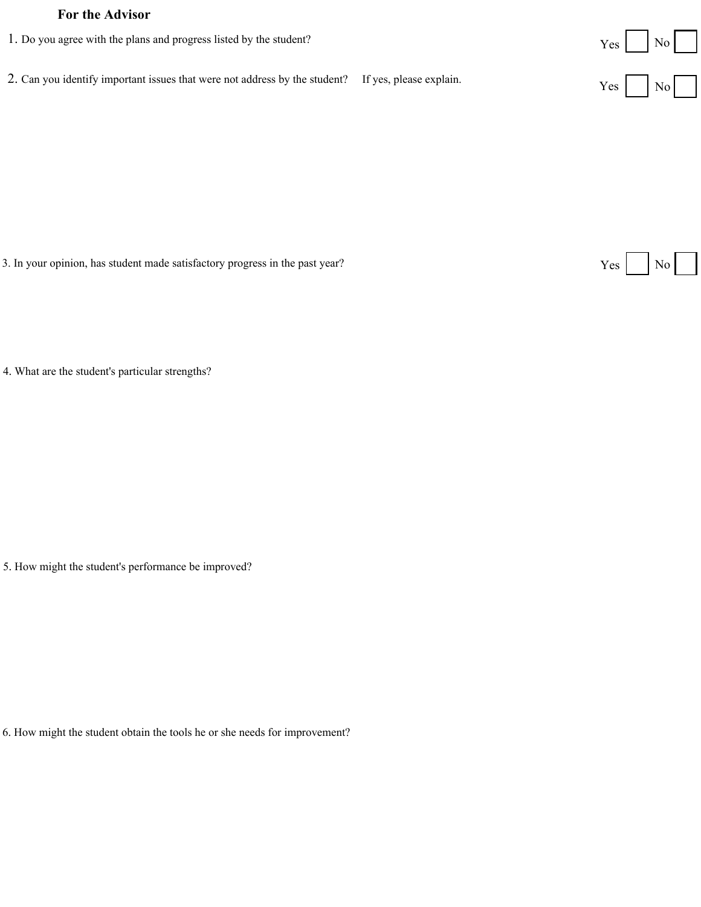## **For the Advisor**

- No Yes No 1. Do you agree with the plans and progress listed by the student? 2. Can you identify important issues that were not address by the student? If yes, please explain.
- 3. In your opinion, has student made satisfactory progress in the past year?

 $Yes \nvert No \nvert$ 

4. What are the student's particular strengths?

5. How might the student's performance be improved?

6. How might the student obtain the tools he or she needs for improvement?